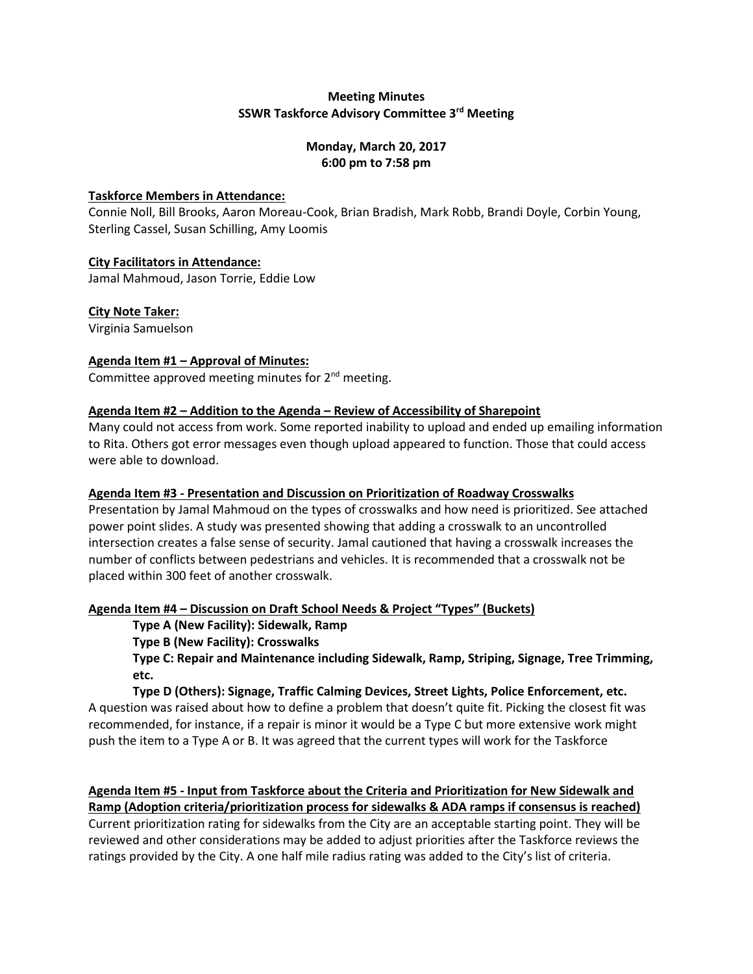# **Meeting Minutes SSWR Taskforce Advisory Committee 3rd Meeting**

### **Monday, March 20, 2017 6:00 pm to 7:58 pm**

### **Taskforce Members in Attendance:**

Connie Noll, Bill Brooks, Aaron Moreau-Cook, Brian Bradish, Mark Robb, Brandi Doyle, Corbin Young, Sterling Cassel, Susan Schilling, Amy Loomis

### **City Facilitators in Attendance:**

Jamal Mahmoud, Jason Torrie, Eddie Low

### **City Note Taker:**

Virginia Samuelson

# **Agenda Item #1 – Approval of Minutes:**

Committee approved meeting minutes for 2<sup>nd</sup> meeting.

### **Agenda Item #2 – Addition to the Agenda – Review of Accessibility of Sharepoint**

Many could not access from work. Some reported inability to upload and ended up emailing information to Rita. Others got error messages even though upload appeared to function. Those that could access were able to download.

### **Agenda Item #3 - Presentation and Discussion on Prioritization of Roadway Crosswalks**

Presentation by Jamal Mahmoud on the types of crosswalks and how need is prioritized. See attached power point slides. A study was presented showing that adding a crosswalk to an uncontrolled intersection creates a false sense of security. Jamal cautioned that having a crosswalk increases the number of conflicts between pedestrians and vehicles. It is recommended that a crosswalk not be placed within 300 feet of another crosswalk.

### **Agenda Item #4 – Discussion on Draft School Needs & Project "Types" (Buckets)**

**Type A (New Facility): Sidewalk, Ramp**

**Type B (New Facility): Crosswalks**

**Type C: Repair and Maintenance including Sidewalk, Ramp, Striping, Signage, Tree Trimming, etc.**

### **Type D (Others): Signage, Traffic Calming Devices, Street Lights, Police Enforcement, etc.**

A question was raised about how to define a problem that doesn't quite fit. Picking the closest fit was recommended, for instance, if a repair is minor it would be a Type C but more extensive work might push the item to a Type A or B. It was agreed that the current types will work for the Taskforce

**Agenda Item #5 - Input from Taskforce about the Criteria and Prioritization for New Sidewalk and Ramp (Adoption criteria/prioritization process for sidewalks & ADA ramps if consensus is reached)** Current prioritization rating for sidewalks from the City are an acceptable starting point. They will be reviewed and other considerations may be added to adjust priorities after the Taskforce reviews the ratings provided by the City. A one half mile radius rating was added to the City's list of criteria.